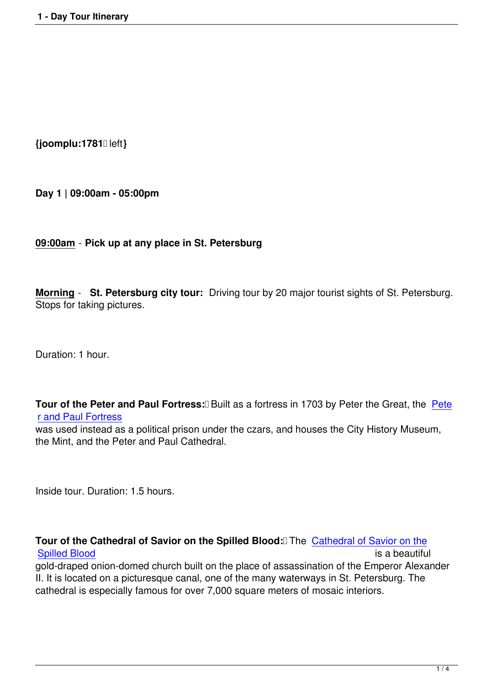**{joomplu:1781** left**}**

**Day 1 | 09:00am - 05:00pm**

## **09:00am** - **Pick up at any place in St. Petersburg**

**Morning** - **St. Petersburg city tour:** Driving tour by 20 major tourist sights of St. Petersburg. Stops for taking pictures.

Duration: 1 hour.

**Tour of the Peter and Paul Fortress: <b>Built** as a fortress in 1703 by Peter the Great, the Pete r and Paul Fortress

was used instead as a political prison under the czars, and houses the City History Museum, the Mint, and the Peter and Paul Cathedral.

Inside tour. Duration: 1.5 hours.

**Tour of the Cathedral of Savior on the Spilled Blood:** The Cathedral of Savior on the Spilled Blood<br>Spilled Blood

Spilled Blood gold-draped onion-domed church built on the place of assassination of the Emperor Alexander II. It is located on a picturesque canal, one of the many waterw[ays in St. Petersburg. The](entertainment/st-petersburg-attractions/79-church-on-spilled-blood.html) [cathedral is es](entertainment/st-petersburg-attractions/79-church-on-spilled-blood.html)pecially famous for over 7,000 square meters of mosaic interiors.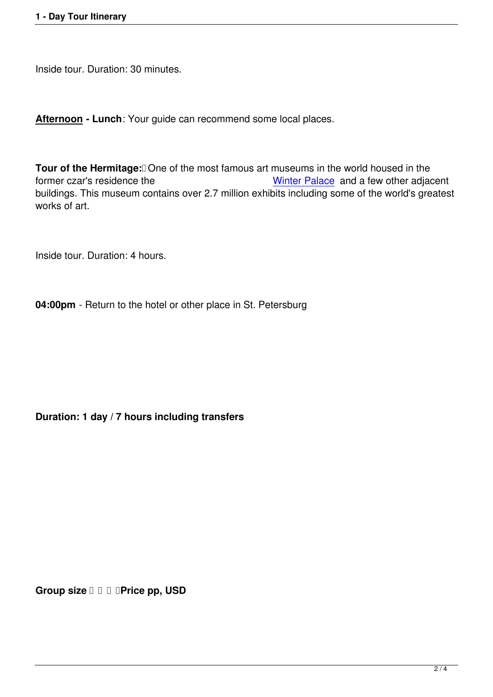Inside tour. Duration: 30 minutes.

**Afternoon - Lunch**: Your guide can recommend some local places.

**Tour of the Hermitage:** One of the most famous art museums in the world housed in the former czar's residence the Winter Palace and a few other adjacent buildings. This museum contains over 2.7 million exhibits including some of the world's greatest works of art.

Inside tour. Duration: 4 hours.

**04:00pm** - Return to the hotel or other place in St. Petersburg

**Duration: 1 day / 7 hours including transfers**

**Group size**  $\Box$  $\Box$  $\Box$  **Price pp, USD**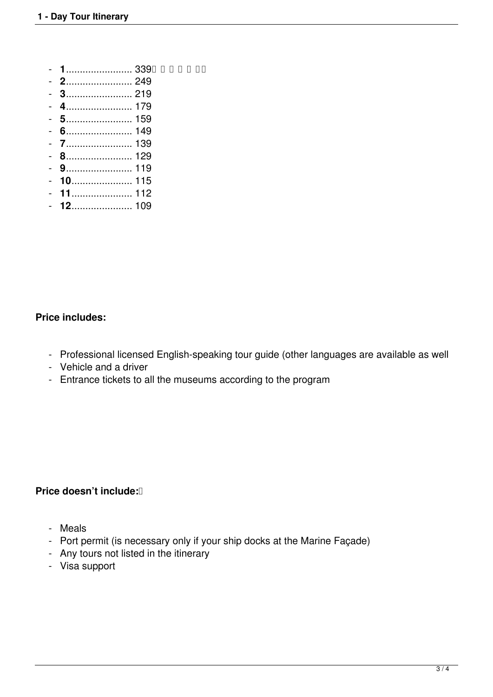- **1**........................ 339
- **2**........................ 249
- **3**........................ 219
- **4**........................ 179
- **5**........................ 159
- **6**........................ 149
- **7**........................ 139
- **8**........................ 129
- **9**........................ 119
- **10**...................... 115
- **11**...................... 112
- **12**...................... 109

## **Price includes:**

- Professional licensed English-speaking tour guide (other languages are available as well
- Vehicle and a driver
- Entrance tickets to all the museums according to the program

## **Price doesn't include:**<sup>[]</sup>

- Meals
- Port permit (is necessary only if your ship docks at the Marine Façade)
- Any tours not listed in the itinerary
- Visa support